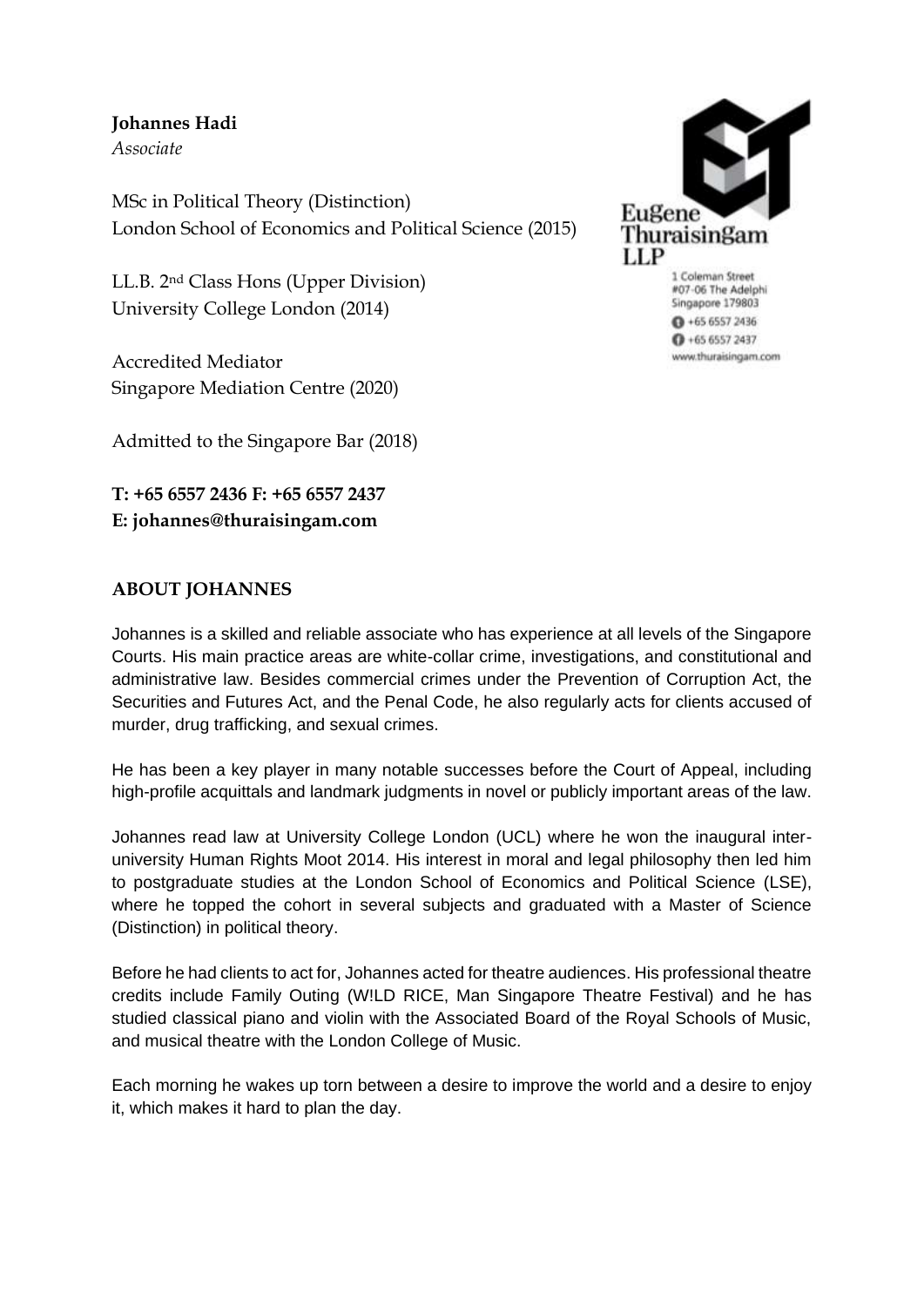# **Johannes Hadi**

*Associate*

MSc in Political Theory (Distinction) London School of Economics and Political Science (2015)

LL.B. 2nd Class Hons (Upper Division) University College London (2014)

Accredited Mediator Singapore Mediation Centre (2020)

Admitted to the Singapore Bar (2018)

**T: +65 6557 2436 F: +65 6557 2437 E: johannes@thuraisingam.com**

## **ABOUT JOHANNES**

Johannes is a skilled and reliable associate who has experience at all levels of the Singapore Courts. His main practice areas are white-collar crime, investigations, and constitutional and administrative law. Besides commercial crimes under the Prevention of Corruption Act, the Securities and Futures Act, and the Penal Code, he also regularly acts for clients accused of murder, drug trafficking, and sexual crimes.

He has been a key player in many notable successes before the Court of Appeal, including high-profile acquittals and landmark judgments in novel or publicly important areas of the law.

Johannes read law at University College London (UCL) where he won the inaugural interuniversity Human Rights Moot 2014. His interest in moral and legal philosophy then led him to postgraduate studies at the London School of Economics and Political Science (LSE), where he topped the cohort in several subjects and graduated with a Master of Science (Distinction) in political theory.

Before he had clients to act for, Johannes acted for theatre audiences. His professional theatre credits include Family Outing (W!LD RICE, Man Singapore Theatre Festival) and he has studied classical piano and violin with the Associated Board of the Royal Schools of Music, and musical theatre with the London College of Music.

Each morning he wakes up torn between a desire to improve the world and a desire to enjoy it, which makes it hard to plan the day.



1 Coleman Street #07-06 The Adelphi Singapore 179803  $0 + 6565572436$  $0 + 6565572437$ www.thuraisingam.com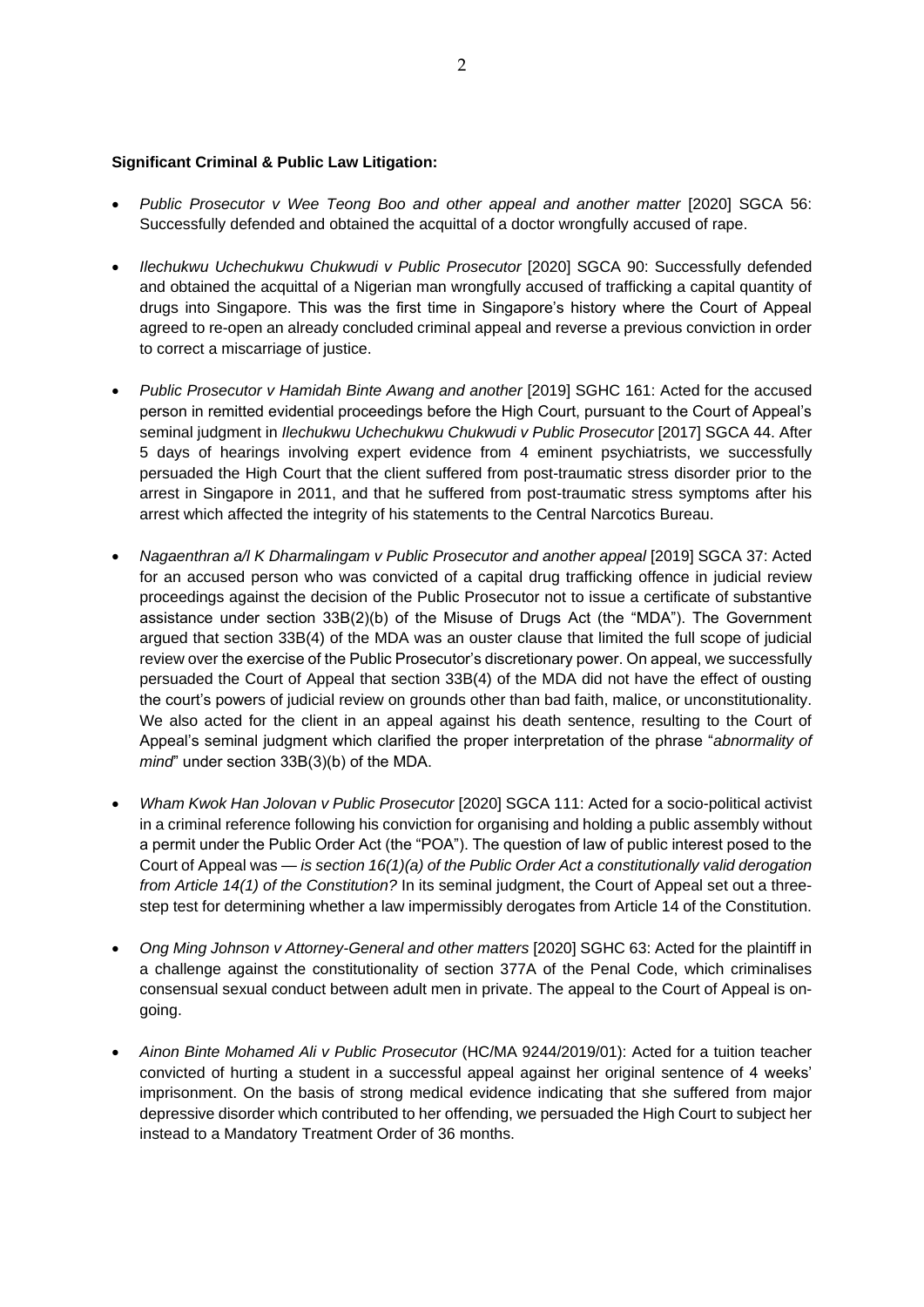#### **Significant Criminal & Public Law Litigation:**

- *Public Prosecutor v Wee Teong Boo and other appeal and another matter* [2020] SGCA 56: Successfully defended and obtained the acquittal of a doctor wrongfully accused of rape.
- *Ilechukwu Uchechukwu Chukwudi v Public Prosecutor* [2020] SGCA 90: Successfully defended and obtained the acquittal of a Nigerian man wrongfully accused of trafficking a capital quantity of drugs into Singapore. This was the first time in Singapore's history where the Court of Appeal agreed to re-open an already concluded criminal appeal and reverse a previous conviction in order to correct a miscarriage of justice.
- *Public Prosecutor v Hamidah Binte Awang and another* [2019] SGHC 161: Acted for the accused person in remitted evidential proceedings before the High Court, pursuant to the Court of Appeal's seminal judgment in *Ilechukwu Uchechukwu Chukwudi v Public Prosecutor* [2017] SGCA 44. After 5 days of hearings involving expert evidence from 4 eminent psychiatrists, we successfully persuaded the High Court that the client suffered from post-traumatic stress disorder prior to the arrest in Singapore in 2011, and that he suffered from post-traumatic stress symptoms after his arrest which affected the integrity of his statements to the Central Narcotics Bureau.
- *Nagaenthran a/l K Dharmalingam v Public Prosecutor and another appeal* [2019] SGCA 37: Acted for an accused person who was convicted of a capital drug trafficking offence in judicial review proceedings against the decision of the Public Prosecutor not to issue a certificate of substantive assistance under section 33B(2)(b) of the Misuse of Drugs Act (the "MDA"). The Government argued that section 33B(4) of the MDA was an ouster clause that limited the full scope of judicial review over the exercise of the Public Prosecutor's discretionary power. On appeal, we successfully persuaded the Court of Appeal that section 33B(4) of the MDA did not have the effect of ousting the court's powers of judicial review on grounds other than bad faith, malice, or unconstitutionality. We also acted for the client in an appeal against his death sentence, resulting to the Court of Appeal's seminal judgment which clarified the proper interpretation of the phrase "*abnormality of mind*" under section 33B(3)(b) of the MDA.
- *Wham Kwok Han Jolovan v Public Prosecutor* [2020] SGCA 111: Acted for a socio-political activist in a criminal reference following his conviction for organising and holding a public assembly without a permit under the Public Order Act (the "POA"). The question of law of public interest posed to the Court of Appeal was — *is section 16(1)(a) of the Public Order Act a constitutionally valid derogation from Article 14(1) of the Constitution?* In its seminal judgment, the Court of Appeal set out a threestep test for determining whether a law impermissibly derogates from Article 14 of the Constitution.
- *Ong Ming Johnson v Attorney-General and other matters* [2020] SGHC 63: Acted for the plaintiff in a challenge against the constitutionality of section 377A of the Penal Code, which criminalises consensual sexual conduct between adult men in private. The appeal to the Court of Appeal is ongoing.
- *Ainon Binte Mohamed Ali v Public Prosecutor* (HC/MA 9244/2019/01): Acted for a tuition teacher convicted of hurting a student in a successful appeal against her original sentence of 4 weeks' imprisonment. On the basis of strong medical evidence indicating that she suffered from major depressive disorder which contributed to her offending, we persuaded the High Court to subject her instead to a Mandatory Treatment Order of 36 months.